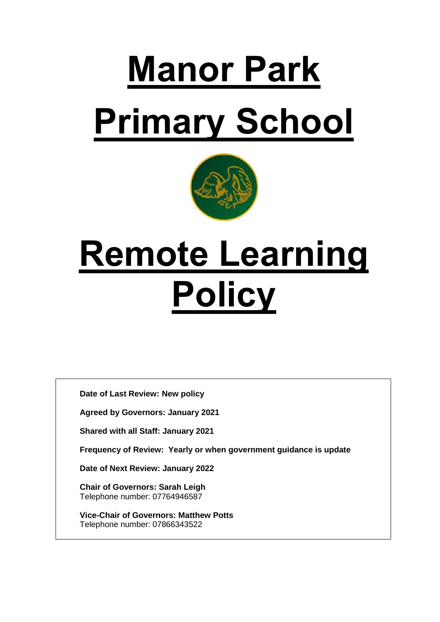# **Manor Park Primary School**



## **Remote Learning Policy**

**Date of Last Review: New policy**

**Agreed by Governors: January 2021**

**Shared with all Staff: January 2021**

**Frequency of Review: Yearly or when government guidance is update**

**Date of Next Review: January 2022**

**Chair of Governors: Sarah Leigh** Telephone number: 07764946587

**Vice-Chair of Governors: Matthew Potts** Telephone number: 07866343522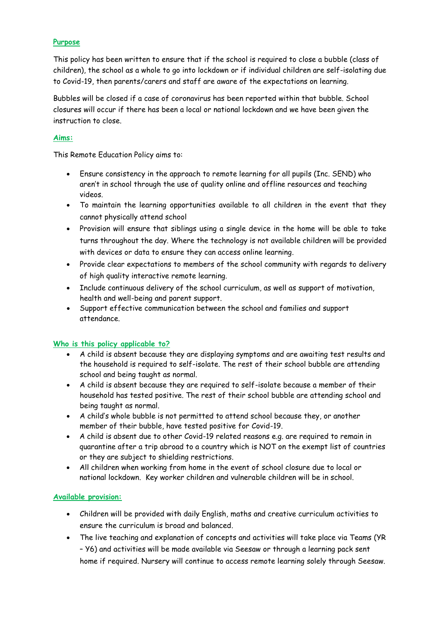#### **Purpose**

This policy has been written to ensure that if the school is required to close a bubble (class of children), the school as a whole to go into lockdown or if individual children are self-isolating due to Covid-19, then parents/carers and staff are aware of the expectations on learning.

Bubbles will be closed if a case of coronavirus has been reported within that bubble. School closures will occur if there has been a local or national lockdown and we have been given the instruction to close.

#### **Aims:**

This Remote Education Policy aims to:

- Ensure consistency in the approach to remote learning for all pupils (Inc. SEND) who aren't in school through the use of quality online and offline resources and teaching videos.
- To maintain the learning opportunities available to all children in the event that they cannot physically attend school
- Provision will ensure that siblings using a single device in the home will be able to take turns throughout the day. Where the technology is not available children will be provided with devices or data to ensure they can access online learning.
- Provide clear expectations to members of the school community with regards to delivery of high quality interactive remote learning.
- Include continuous delivery of the school curriculum, as well as support of motivation, health and well-being and parent support.
- Support effective communication between the school and families and support attendance.

#### **Who is this policy applicable to?**

- A child is absent because they are displaying symptoms and are awaiting test results and the household is required to self-isolate. The rest of their school bubble are attending school and being taught as normal.
- A child is absent because they are required to self-isolate because a member of their household has tested positive. The rest of their school bubble are attending school and being taught as normal.
- A child's whole bubble is not permitted to attend school because they, or another member of their bubble, have tested positive for Covid-19.
- A child is absent due to other Covid-19 related reasons e.g. are required to remain in quarantine after a trip abroad to a country which is NOT on the exempt list of countries or they are subject to shielding restrictions.
- All children when working from home in the event of school closure due to local or national lockdown. Key worker children and vulnerable children will be in school.

#### **Available provision:**

- Children will be provided with daily English, maths and creative curriculum activities to ensure the curriculum is broad and balanced.
- The live teaching and explanation of concepts and activities will take place via Teams (YR – Y6) and activities will be made available via Seesaw or through a learning pack sent home if required. Nursery will continue to access remote learning solely through Seesaw.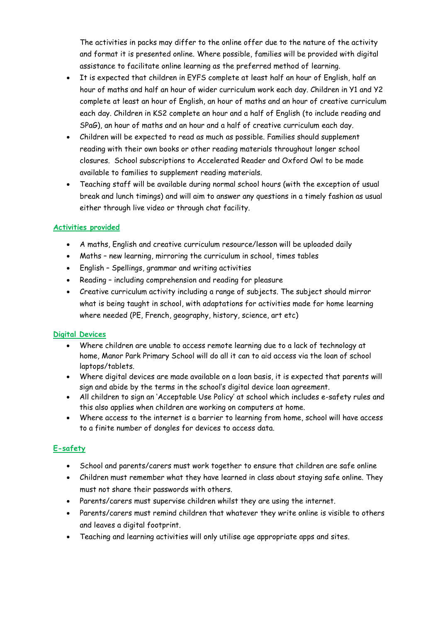The activities in packs may differ to the online offer due to the nature of the activity and format it is presented online. Where possible, families will be provided with digital assistance to facilitate online learning as the preferred method of learning.

- It is expected that children in EYFS complete at least half an hour of English, half an hour of maths and half an hour of wider curriculum work each day. Children in Y1 and Y2 complete at least an hour of English, an hour of maths and an hour of creative curriculum each day. Children in KS2 complete an hour and a half of English (to include reading and SPaG), an hour of maths and an hour and a half of creative curriculum each day.
- Children will be expected to read as much as possible. Families should supplement reading with their own books or other reading materials throughout longer school closures. School subscriptions to Accelerated Reader and Oxford Owl to be made available to families to supplement reading materials.
- Teaching staff will be available during normal school hours (with the exception of usual break and lunch timings) and will aim to answer any questions in a timely fashion as usual either through live video or through chat facility.

#### **Activities provided**

- A maths, English and creative curriculum resource/lesson will be uploaded daily
- Maths new learning, mirroring the curriculum in school, times tables
- English Spellings, grammar and writing activities
- Reading including comprehension and reading for pleasure
- Creative curriculum activity including a range of subjects. The subject should mirror what is being taught in school, with adaptations for activities made for home learning where needed (PE, French, geography, history, science, art etc)

#### **Digital Devices**

- Where children are unable to access remote learning due to a lack of technology at home, Manor Park Primary School will do all it can to aid access via the loan of school laptops/tablets.
- Where digital devices are made available on a loan basis, it is expected that parents will sign and abide by the terms in the school's digital device loan agreement.
- All children to sign an 'Acceptable Use Policy' at school which includes e-safety rules and this also applies when children are working on computers at home.
- Where access to the internet is a barrier to learning from home, school will have access to a finite number of dongles for devices to access data.

#### **E-safety**

- School and parents/carers must work together to ensure that children are safe online
- Children must remember what they have learned in class about staying safe online. They must not share their passwords with others.
- Parents/carers must supervise children whilst they are using the internet.
- Parents/carers must remind children that whatever they write online is visible to others and leaves a digital footprint.
- Teaching and learning activities will only utilise age appropriate apps and sites.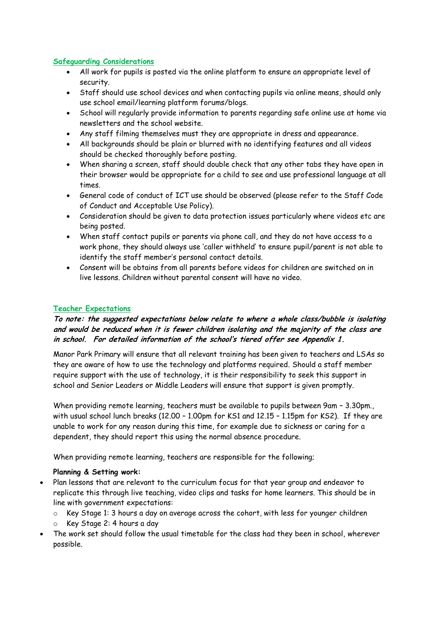#### **Safeguarding Considerations**

- All work for pupils is posted via the online platform to ensure an appropriate level of security.
- Staff should use school devices and when contacting pupils via online means, should only use school email/learning platform forums/blogs.
- School will regularly provide information to parents regarding safe online use at home via newsletters and the school website.
- Any staff filming themselves must they are appropriate in dress and appearance.
- All backgrounds should be plain or blurred with no identifying features and all videos should be checked thoroughly before posting.
- When sharing a screen, staff should double check that any other tabs they have open in their browser would be appropriate for a child to see and use professional language at all times.
- General code of conduct of ICT use should be observed (please refer to the Staff Code of Conduct and Acceptable Use Policy).
- Consideration should be given to data protection issues particularly where videos etc are being posted.
- When staff contact pupils or parents via phone call, and they do not have access to a work phone, they should always use 'caller withheld' to ensure pupil/parent is not able to identify the staff member's personal contact details.
- Consent will be obtains from all parents before videos for children are switched on in live lessons. Children without parental consent will have no video.

#### **Teacher Expectations**

#### **To note: the suggested expectations below relate to where a whole class/bubble is isolating and would be reduced when it is fewer children isolating and the majority of the class are in school. For detailed information of the school's tiered offer see Appendix 1.**

Manor Park Primary will ensure that all relevant training has been given to teachers and LSAs so they are aware of how to use the technology and platforms required. Should a staff member require support with the use of technology, it is their responsibility to seek this support in school and Senior Leaders or Middle Leaders will ensure that support is given promptly.

When providing remote learning, teachers must be available to pupils between 9am – 3.30pm., with usual school lunch breaks (12.00 – 1.00pm for KS1 and 12.15 – 1.15pm for KS2). If they are unable to work for any reason during this time, for example due to sickness or caring for a dependent, they should report this using the normal absence procedure.

When providing remote learning, teachers are responsible for the following;

#### **Planning & Setting work:**

- Plan lessons that are relevant to the curriculum focus for that year group and endeavor to replicate this through live teaching, video clips and tasks for home learners. This should be in line with government expectations:
	- o Key Stage 1: 3 hours a day on average across the cohort, with less for younger children
	- o Key Stage 2: 4 hours a day
- The work set should follow the usual timetable for the class had they been in school, wherever possible.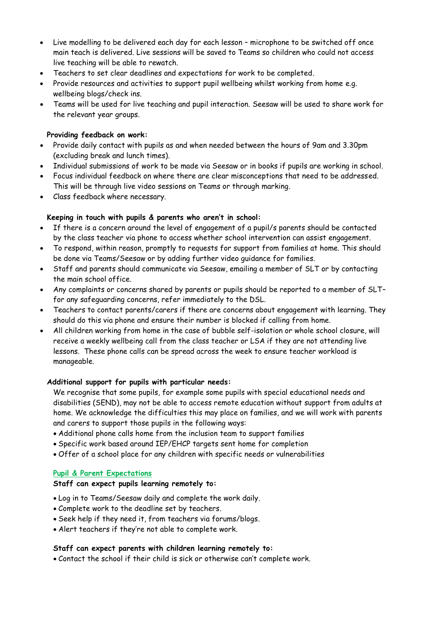- Live modelling to be delivered each day for each lesson microphone to be switched off once main teach is delivered. Live sessions will be saved to Teams so children who could not access live teaching will be able to rewatch.
- Teachers to set clear deadlines and expectations for work to be completed.
- Provide resources and activities to support pupil wellbeing whilst working from home e.g. wellbeing blogs/check ins.
- Teams will be used for live teaching and pupil interaction. Seesaw will be used to share work for the relevant year groups.

#### **Providing feedback on work:**

- Provide daily contact with pupils as and when needed between the hours of 9am and 3.30pm (excluding break and lunch times).
- Individual submissions of work to be made via Seesaw or in books if pupils are working in school.
- Focus individual feedback on where there are clear misconceptions that need to be addressed. This will be through live video sessions on Teams or through marking.
- Class feedback where necessary.

#### **Keeping in touch with pupils & parents who aren't in school:**

- If there is a concern around the level of engagement of a pupil/s parents should be contacted by the class teacher via phone to access whether school intervention can assist engagement.
- To respond, within reason, promptly to requests for support from families at home. This should be done via Teams/Seesaw or by adding further video guidance for families.
- Staff and parents should communicate via Seesaw, emailing a member of SLT or by contacting the main school office.
- Any complaints or concerns shared by parents or pupils should be reported to a member of SLT– for any safeguarding concerns, refer immediately to the DSL.
- Teachers to contact parents/carers if there are concerns about engagement with learning. They should do this via phone and ensure their number is blocked if calling from home.
- All children working from home in the case of bubble self-isolation or whole school closure, will receive a weekly wellbeing call from the class teacher or LSA if they are not attending live lessons. These phone calls can be spread across the week to ensure teacher workload is manageable.

#### **Additional support for pupils with particular needs:**

We recognise that some pupils, for example some pupils with special educational needs and disabilities (SEND), may not be able to access remote education without support from adults at home. We acknowledge the difficulties this may place on families, and we will work with parents and carers to support those pupils in the following ways:

- Additional phone calls home from the inclusion team to support families
- Specific work based around IEP/EHCP targets sent home for completion
- Offer of a school place for any children with specific needs or vulnerabilities

#### **Pupil & Parent Expectations**

#### **Staff can expect pupils learning remotely to:**

- Log in to Teams/Seesaw daily and complete the work daily.
- Complete work to the deadline set by teachers.
- Seek help if they need it, from teachers via forums/blogs.
- Alert teachers if they're not able to complete work.

#### **Staff can expect parents with children learning remotely to:**

Contact the school if their child is sick or otherwise can't complete work.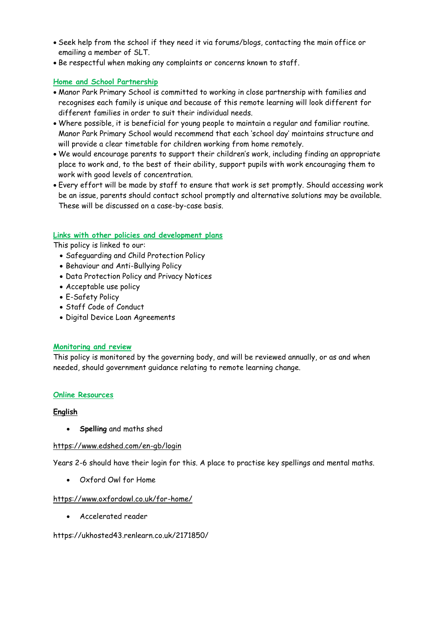- Seek help from the school if they need it via forums/blogs, contacting the main office or emailing a member of SLT.
- Be respectful when making any complaints or concerns known to staff.

#### **Home and School Partnership**

- Manor Park Primary School is committed to working in close partnership with families and recognises each family is unique and because of this remote learning will look different for different families in order to suit their individual needs.
- Where possible, it is beneficial for young people to maintain a regular and familiar routine. Manor Park Primary School would recommend that each 'school day' maintains structure and will provide a clear timetable for children working from home remotely.
- We would encourage parents to support their children's work, including finding an appropriate place to work and, to the best of their ability, support pupils with work encouraging them to work with good levels of concentration.
- Every effort will be made by staff to ensure that work is set promptly. Should accessing work be an issue, parents should contact school promptly and alternative solutions may be available. These will be discussed on a case-by-case basis.

#### **Links with other policies and development plans**

This policy is linked to our:

- Safeguarding and Child Protection Policy
- Behaviour and Anti-Bullying Policy
- Data Protection Policy and Privacy Notices
- Acceptable use policy
- E-Safety Policy
- Staff Code of Conduct
- Digital Device Loan Agreements

#### **Monitoring and review**

This policy is monitored by the governing body, and will be reviewed annually, or as and when needed, should government guidance relating to remote learning change.

#### **Online Resources**

#### **English**

**Spelling** and maths shed

#### <https://www.edshed.com/en-gb/login>

Years 2-6 should have their login for this. A place to practise key spellings and mental maths.

Oxford Owl for Home

#### <https://www.oxfordowl.co.uk/for-home/>

Accelerated reader

#### https://ukhosted43.renlearn.co.uk/2171850/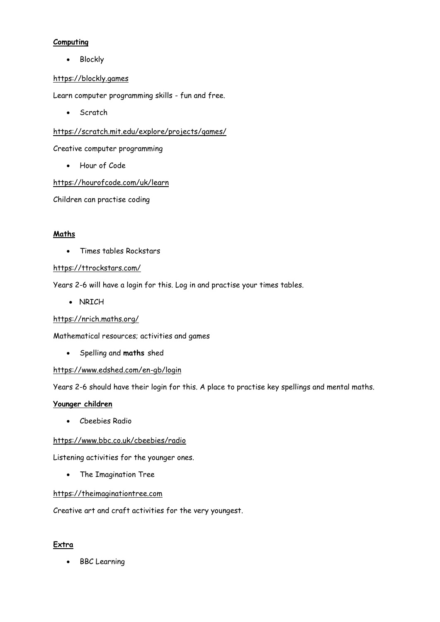#### **Computing**

• Blockly

#### [https://blockly.games](https://blockly.games/)

Learn computer programming skills - fun and free.

• Scratch

#### <https://scratch.mit.edu/explore/projects/games/>

Creative computer programming

Hour of Code

<https://hourofcode.com/uk/learn>

Children can practise coding

#### **Maths**

Times tables Rockstars

#### <https://ttrockstars.com/>

Years 2-6 will have a login for this. Log in and practise your times tables.

• NRICH

<https://nrich.maths.org/>

Mathematical resources; activities and games

Spelling and **maths** shed

#### <https://www.edshed.com/en-gb/login>

Years 2-6 should have their login for this. A place to practise key spellings and mental maths.

#### **Younger children**

Cbeebies Radio

#### <https://www.bbc.co.uk/cbeebies/radio>

Listening activities for the younger ones.

The Imagination Tree

#### [https://theimaginationtree.com](https://theimaginationtree.com/)

Creative art and craft activities for the very youngest.

#### **Extra**

• BBC Learning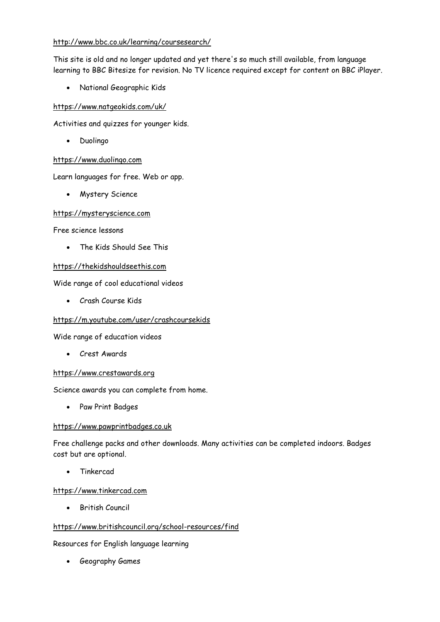#### <http://www.bbc.co.uk/learning/coursesearch/>

This site is old and no longer updated and yet there's so much still available, from language learning to BBC Bitesize for revision. No TV licence required except for content on BBC iPlayer.

National Geographic Kids

#### <https://www.natgeokids.com/uk/>

Activities and quizzes for younger kids.

• Duolingo

#### [https://www.duolingo.com](https://www.duolingo.com/)

Learn languages for free. Web or app.

Mystery Science

#### [https://mysteryscience.com](https://mysteryscience.com/)

Free science lessons

The Kids Should See This

#### [https://thekidshouldseethis.com](https://thekidshouldseethis.com/)

Wide range of cool educational videos

Crash Course Kids

#### <https://m.youtube.com/user/crashcoursekids>

Wide range of education videos

Crest Awards

#### [https://www.crestawards.org](https://www.crestawards.org/)

Science awards you can complete from home.

• Paw Print Badges

#### [https://www.pawprintbadges.co.uk](https://www.pawprintbadges.co.uk/)

Free challenge packs and other downloads. Many activities can be completed indoors. Badges cost but are optional.

Tinkercad

#### [https://www.tinkercad.com](https://www.tinkercad.com/)

British Council

#### <https://www.britishcouncil.org/school-resources/find>

Resources for English language learning

Geography Games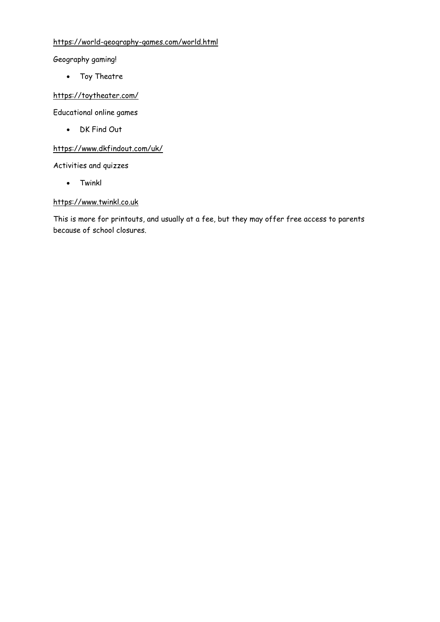#### <https://world-geography-games.com/world.html>

Geography gaming!

• Toy Theatre

#### <https://toytheater.com/>

Educational online games

DK Find Out

#### <https://www.dkfindout.com/uk/>

Activities and quizzes

Twinkl

#### [https://www.twinkl.co.uk](https://www.twinkl.co.uk/)

This is more for printouts, and usually at a fee, but they may offer free access to parents because of school closures.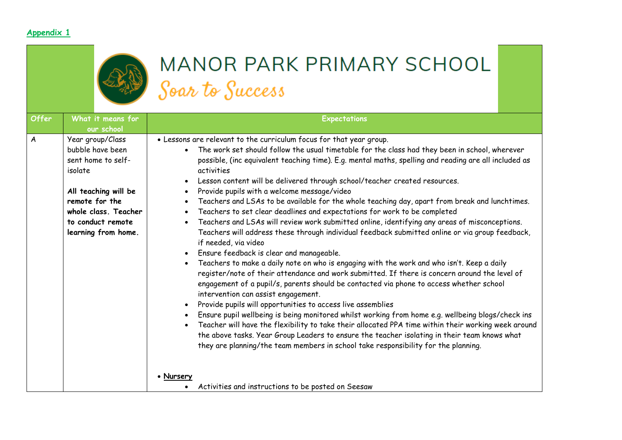#### **Appendix 1**



### MANOR PARK PRIMARY SCHOOL Soar to Success

| <b>Offer</b>     | What it means for<br>our school                                                                                                                                                     | <b>Expectations</b>                                                                                                                                                                                                                                                                                                                                                                                                                                                                                                                                                                                                                                                                                                                                                                                                                                                                                                                                                                                                                                                                                                                                                                                                                                                                                                                                                                                                                                                                                                                                                                                                                                                                                                                                                             |
|------------------|-------------------------------------------------------------------------------------------------------------------------------------------------------------------------------------|---------------------------------------------------------------------------------------------------------------------------------------------------------------------------------------------------------------------------------------------------------------------------------------------------------------------------------------------------------------------------------------------------------------------------------------------------------------------------------------------------------------------------------------------------------------------------------------------------------------------------------------------------------------------------------------------------------------------------------------------------------------------------------------------------------------------------------------------------------------------------------------------------------------------------------------------------------------------------------------------------------------------------------------------------------------------------------------------------------------------------------------------------------------------------------------------------------------------------------------------------------------------------------------------------------------------------------------------------------------------------------------------------------------------------------------------------------------------------------------------------------------------------------------------------------------------------------------------------------------------------------------------------------------------------------------------------------------------------------------------------------------------------------|
| $\boldsymbol{A}$ | Year group/Class<br>bubble have been<br>sent home to self-<br>isolate<br>All teaching will be<br>remote for the<br>whole class. Teacher<br>to conduct remote<br>learning from home. | . Lessons are relevant to the curriculum focus for that year group.<br>The work set should follow the usual timetable for the class had they been in school, wherever<br>possible, (inc equivalent teaching time). E.g. mental maths, spelling and reading are all included as<br>activities<br>Lesson content will be delivered through school/teacher created resources.<br>Provide pupils with a welcome message/video<br>Teachers and LSAs to be available for the whole teaching day, apart from break and lunchtimes.<br>Teachers to set clear deadlines and expectations for work to be completed<br>$\bullet$<br>Teachers and LSAs will review work submitted online, identifying any areas of misconceptions.<br>$\bullet$<br>Teachers will address these through individual feedback submitted online or via group feedback,<br>if needed, via video<br>Ensure feedback is clear and manageable.<br>Teachers to make a daily note on who is engaging with the work and who isn't. Keep a daily<br>register/note of their attendance and work submitted. If there is concern around the level of<br>engagement of a pupil/s, parents should be contacted via phone to access whether school<br>intervention can assist engagement.<br>Provide pupils will opportunities to access live assemblies<br>Ensure pupil wellbeing is being monitored whilst working from home e.g. wellbeing blogs/check ins<br>Teacher will have the flexibility to take their allocated PPA time within their working week around<br>the above tasks. Year Group Leaders to ensure the teacher isolating in their team knows what<br>they are planning/the team members in school take responsibility for the planning.<br>• Nursery<br>Activities and instructions to be posted on Seesaw |
|                  |                                                                                                                                                                                     |                                                                                                                                                                                                                                                                                                                                                                                                                                                                                                                                                                                                                                                                                                                                                                                                                                                                                                                                                                                                                                                                                                                                                                                                                                                                                                                                                                                                                                                                                                                                                                                                                                                                                                                                                                                 |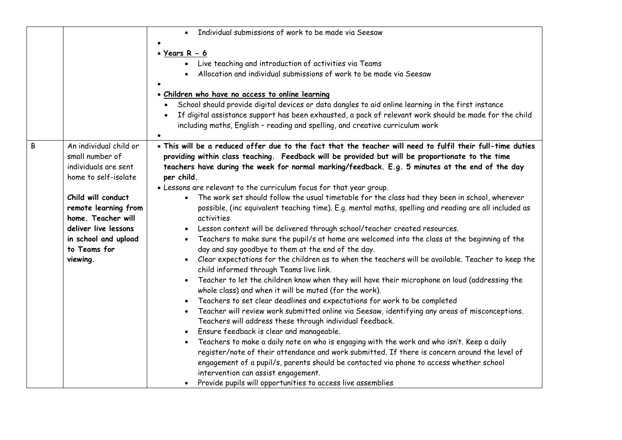|                                                                                                                                                                                                                                                | Individual submissions of work to be made via Seesaw                                                                                                                                                                                                                                                                                                                                                                                                                                                                                                                                                                                                                                                                                                                                                                                                                                                                                                                                                                                                                                                                                                                                                                                                                                                                                                                                                                                                                                                                                                                                                                                                                                                                                                                                                                                                                    |
|------------------------------------------------------------------------------------------------------------------------------------------------------------------------------------------------------------------------------------------------|-------------------------------------------------------------------------------------------------------------------------------------------------------------------------------------------------------------------------------------------------------------------------------------------------------------------------------------------------------------------------------------------------------------------------------------------------------------------------------------------------------------------------------------------------------------------------------------------------------------------------------------------------------------------------------------------------------------------------------------------------------------------------------------------------------------------------------------------------------------------------------------------------------------------------------------------------------------------------------------------------------------------------------------------------------------------------------------------------------------------------------------------------------------------------------------------------------------------------------------------------------------------------------------------------------------------------------------------------------------------------------------------------------------------------------------------------------------------------------------------------------------------------------------------------------------------------------------------------------------------------------------------------------------------------------------------------------------------------------------------------------------------------------------------------------------------------------------------------------------------------|
|                                                                                                                                                                                                                                                | • Years $R - 6$<br>Live teaching and introduction of activities via Teams<br>Allocation and individual submissions of work to be made via Seesaw<br>· Children who have no access to online learning<br>School should provide digital devices or data dangles to aid online learning in the first instance<br>If digital assistance support has been exhausted, a pack of relevant work should be made for the child<br>including maths, English - reading and spelling, and creative curriculum work                                                                                                                                                                                                                                                                                                                                                                                                                                                                                                                                                                                                                                                                                                                                                                                                                                                                                                                                                                                                                                                                                                                                                                                                                                                                                                                                                                   |
| An individual child or<br>B<br>small number of<br>individuals are sent<br>home to self-isolate<br>Child will conduct<br>remote learning from<br>home. Teacher will<br>deliver live lessons<br>in school and upload<br>to Teams for<br>viewing. | . This will be a reduced offer due to the fact that the teacher will need to fulfil their full-time duties<br>providing within class teaching. Feedback will be provided but will be proportionate to the time<br>teachers have during the week for normal marking/feedback. E.g. 5 minutes at the end of the day<br>per child.<br>. Lessons are relevant to the curriculum focus for that year group.<br>The work set should follow the usual timetable for the class had they been in school, wherever<br>possible, (inc equivalent teaching time). E.g. mental maths, spelling and reading are all included as<br>activities<br>Lesson content will be delivered through school/teacher created resources.<br>Teachers to make sure the pupil/s at home are welcomed into the class at the beginning of the<br>day and say goodbye to them at the end of the day.<br>Clear expectations for the children as to when the teachers will be available. Teacher to keep the<br>child informed through Teams live link.<br>Teacher to let the children know when they will have their microphone on loud (addressing the<br>whole class) and when it will be muted (for the work).<br>Teachers to set clear deadlines and expectations for work to be completed<br>Teacher will review work submitted online via Seesaw, identifying any areas of misconceptions.<br>Teachers will address these through individual feedback.<br>Ensure feedback is clear and manageable.<br>Teachers to make a daily note on who is engaging with the work and who isn't. Keep a daily<br>register/note of their attendance and work submitted. If there is concern around the level of<br>engagement of a pupil/s, parents should be contacted via phone to access whether school<br>intervention can assist engagement.<br>Provide pupils will opportunities to access live assemblies |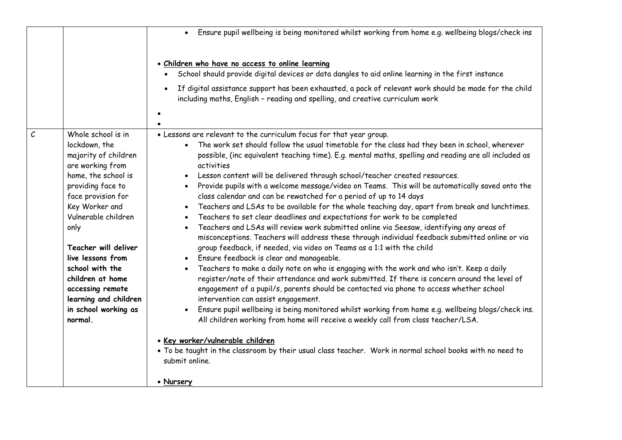|                                                                                                                                                                                                                                                                                                                                                                                         | Ensure pupil wellbeing is being monitored whilst working from home e.g. wellbeing blogs/check ins                                                                                                                                                                                                                                                                                                                                                                                                                                                                                                                                                                                                                                                                                                                                                                                                                                                                                                                                                                                                                                                                                                                                                                                                                                                                                                                                                                                                                                                                                                                                                                                                                                                                                                        |
|-----------------------------------------------------------------------------------------------------------------------------------------------------------------------------------------------------------------------------------------------------------------------------------------------------------------------------------------------------------------------------------------|----------------------------------------------------------------------------------------------------------------------------------------------------------------------------------------------------------------------------------------------------------------------------------------------------------------------------------------------------------------------------------------------------------------------------------------------------------------------------------------------------------------------------------------------------------------------------------------------------------------------------------------------------------------------------------------------------------------------------------------------------------------------------------------------------------------------------------------------------------------------------------------------------------------------------------------------------------------------------------------------------------------------------------------------------------------------------------------------------------------------------------------------------------------------------------------------------------------------------------------------------------------------------------------------------------------------------------------------------------------------------------------------------------------------------------------------------------------------------------------------------------------------------------------------------------------------------------------------------------------------------------------------------------------------------------------------------------------------------------------------------------------------------------------------------------|
|                                                                                                                                                                                                                                                                                                                                                                                         | · Children who have no access to online learning<br>School should provide digital devices or data dangles to aid online learning in the first instance<br>If digital assistance support has been exhausted, a pack of relevant work should be made for the child<br>including maths, English - reading and spelling, and creative curriculum work                                                                                                                                                                                                                                                                                                                                                                                                                                                                                                                                                                                                                                                                                                                                                                                                                                                                                                                                                                                                                                                                                                                                                                                                                                                                                                                                                                                                                                                        |
| $\mathcal{C}$<br>Whole school is in<br>lockdown, the<br>majority of children<br>are working from<br>home, the school is<br>providing face to<br>face provision for<br>Key Worker and<br>Vulnerable children<br>only<br>Teacher will deliver<br>live lessons from<br>school with the<br>children at home<br>accessing remote<br>learning and children<br>in school working as<br>normal. | . Lessons are relevant to the curriculum focus for that year group.<br>The work set should follow the usual timetable for the class had they been in school, wherever<br>possible, (inc equivalent teaching time). E.g. mental maths, spelling and reading are all included as<br>activities<br>Lesson content will be delivered through school/teacher created resources.<br>Provide pupils with a welcome message/video on Teams. This will be automatically saved onto the<br>$\bullet$<br>class calendar and can be rewatched for a period of up to 14 days<br>Teachers and LSAs to be available for the whole teaching day, apart from break and lunchtimes.<br>$\bullet$<br>Teachers to set clear deadlines and expectations for work to be completed<br>Teachers and LSAs will review work submitted online via Seesaw, identifying any areas of<br>$\bullet$<br>misconceptions. Teachers will address these through individual feedback submitted online or via<br>group feedback, if needed, via video on Teams as a 1:1 with the child<br>Ensure feedback is clear and manageable.<br>Teachers to make a daily note on who is engaging with the work and who isn't. Keep a daily<br>register/note of their attendance and work submitted. If there is concern around the level of<br>engagement of a pupil/s, parents should be contacted via phone to access whether school<br>intervention can assist engagement.<br>Ensure pupil wellbeing is being monitored whilst working from home e.g. wellbeing blogs/check ins.<br>All children working from home will receive a weekly call from class teacher/LSA.<br>• Key worker/vulnerable children<br>. To be taught in the classroom by their usual class teacher. Work in normal school books with no need to<br>submit online.<br>• Nursery |